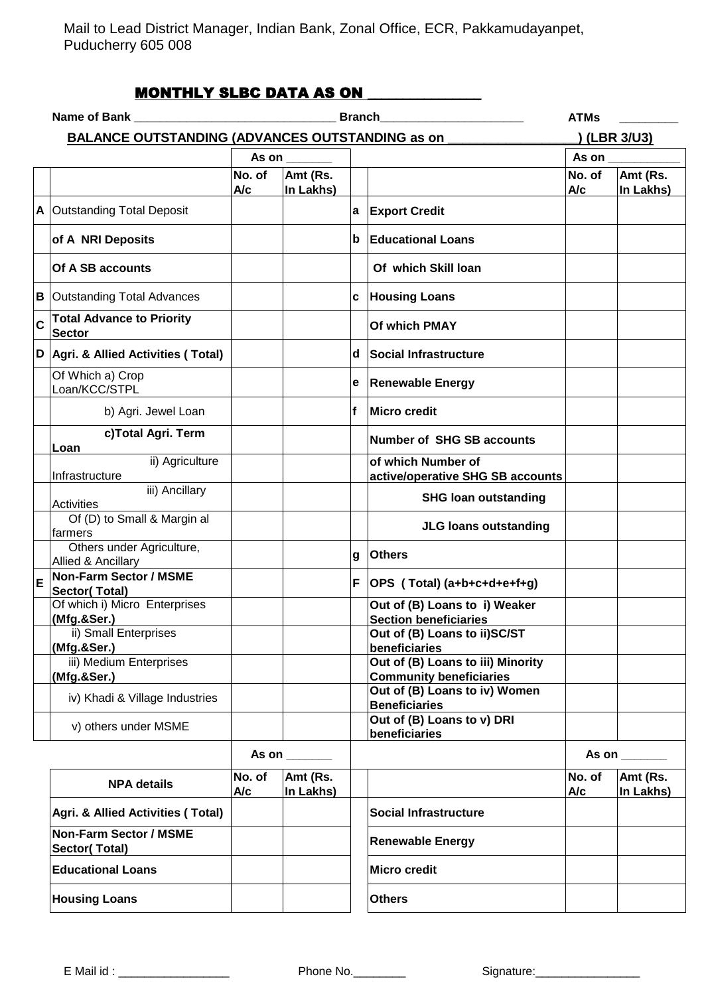Mail to Lead District Manager, Indian Bank, Zonal Office, ECR, Pakkamudayanpet, Puducherry 605 008

## MONTHLY SLBC DATA AS ON \_\_\_\_\_\_\_\_\_\_\_\_\_\_\_\_

|             | Name of Bank and the control of the control of the control of the control of the control of the control of the control of the control of the control of the control of the control of the control of the control of the contro | <b>ATMs</b>   |                       |    |                                                                     |                                                                                                                                                                                                                                |                       |
|-------------|--------------------------------------------------------------------------------------------------------------------------------------------------------------------------------------------------------------------------------|---------------|-----------------------|----|---------------------------------------------------------------------|--------------------------------------------------------------------------------------------------------------------------------------------------------------------------------------------------------------------------------|-----------------------|
|             | <b>BALANCE OUTSTANDING (ADVANCES OUTSTANDING as on</b>                                                                                                                                                                         |               | <u>)</u> (LBR 3/U3)   |    |                                                                     |                                                                                                                                                                                                                                |                       |
|             |                                                                                                                                                                                                                                | As on         |                       |    |                                                                     | As on                                                                                                                                                                                                                          |                       |
|             |                                                                                                                                                                                                                                | No. of<br>A/c | Amt (Rs.<br>In Lakhs) |    |                                                                     | No. of<br>A/c                                                                                                                                                                                                                  | Amt (Rs.<br>In Lakhs) |
|             | A Outstanding Total Deposit                                                                                                                                                                                                    |               |                       |    | a Export Credit                                                     |                                                                                                                                                                                                                                |                       |
|             | of A NRI Deposits                                                                                                                                                                                                              |               |                       | b  | <b>Educational Loans</b>                                            |                                                                                                                                                                                                                                |                       |
|             | Of A SB accounts                                                                                                                                                                                                               |               |                       |    | Of which Skill loan                                                 |                                                                                                                                                                                                                                |                       |
|             | <b>B</b> Outstanding Total Advances                                                                                                                                                                                            |               |                       | C. | <b>Housing Loans</b>                                                |                                                                                                                                                                                                                                |                       |
| $\mathbf c$ | <b>Total Advance to Priority</b><br><b>Sector</b>                                                                                                                                                                              |               |                       |    | Of which PMAY                                                       |                                                                                                                                                                                                                                |                       |
|             | D   Agri. & Allied Activities (Total)                                                                                                                                                                                          |               |                       |    | d Social Infrastructure                                             |                                                                                                                                                                                                                                |                       |
|             | Of Which a) Crop<br>Loan/KCC/STPL                                                                                                                                                                                              |               |                       |    | e Renewable Energy                                                  |                                                                                                                                                                                                                                |                       |
|             | b) Agri. Jewel Loan                                                                                                                                                                                                            |               |                       | f  | Micro credit                                                        |                                                                                                                                                                                                                                |                       |
|             | c)Total Agri. Term<br>Loan                                                                                                                                                                                                     |               |                       |    | <b>Number of SHG SB accounts</b>                                    |                                                                                                                                                                                                                                |                       |
|             | ii) Agriculture<br>Infrastructure                                                                                                                                                                                              |               |                       |    | of which Number of<br>active/operative SHG SB accounts              |                                                                                                                                                                                                                                |                       |
|             | iii) Ancillary<br>Activities                                                                                                                                                                                                   |               |                       |    | <b>SHG loan outstanding</b>                                         |                                                                                                                                                                                                                                |                       |
|             | Of (D) to Small & Margin al<br>farmers                                                                                                                                                                                         |               |                       |    | <b>JLG loans outstanding</b>                                        |                                                                                                                                                                                                                                |                       |
|             | Others under Agriculture,<br>Allied & Ancillary                                                                                                                                                                                |               |                       | g  | <b>Others</b>                                                       |                                                                                                                                                                                                                                |                       |
| İΕ          | <b>Non-Farm Sector / MSME</b><br>Sector(Total)                                                                                                                                                                                 |               |                       |    | $F$   OPS (Total) (a+b+c+d+e+f+g)                                   |                                                                                                                                                                                                                                |                       |
|             | Of which i) Micro Enterprises<br>(Mfg.&Ser.)                                                                                                                                                                                   |               |                       |    | Out of (B) Loans to i) Weaker<br><b>Section beneficiaries</b>       |                                                                                                                                                                                                                                |                       |
|             | ii) Small Enterprises<br>(Mfg.&Ser.)                                                                                                                                                                                           |               |                       |    | Out of (B) Loans to ii)SC/ST<br>beneficiaries                       |                                                                                                                                                                                                                                |                       |
|             | iii) Medium Enterprises<br>(Mfg.&Ser.)                                                                                                                                                                                         |               |                       |    | Out of (B) Loans to iii) Minority<br><b>Community beneficiaries</b> |                                                                                                                                                                                                                                |                       |
|             | iv) Khadi & Village Industries                                                                                                                                                                                                 |               |                       |    | Out of (B) Loans to iv) Women<br><b>Beneficiaries</b>               |                                                                                                                                                                                                                                |                       |
|             | v) others under MSME                                                                                                                                                                                                           |               |                       |    | Out of (B) Loans to v) DRI<br>beneficiaries                         |                                                                                                                                                                                                                                |                       |
|             |                                                                                                                                                                                                                                | As on         |                       |    |                                                                     | As on the state of the state of the state of the state of the state of the state of the state of the state of the state of the state of the state of the state of the state of the state of the state of the state of the stat |                       |
|             | <b>NPA details</b>                                                                                                                                                                                                             | No. of<br>A/c | Amt (Rs.<br>In Lakhs) |    |                                                                     | No. of<br>A/c                                                                                                                                                                                                                  | Amt (Rs.<br>In Lakhs) |
|             | Agri. & Allied Activities (Total)                                                                                                                                                                                              |               |                       |    | <b>Social Infrastructure</b>                                        |                                                                                                                                                                                                                                |                       |
|             | <b>Non-Farm Sector / MSME</b><br><b>Sector(Total)</b>                                                                                                                                                                          |               |                       |    | <b>Renewable Energy</b>                                             |                                                                                                                                                                                                                                |                       |
|             | <b>Educational Loans</b>                                                                                                                                                                                                       |               |                       |    | <b>Micro credit</b>                                                 |                                                                                                                                                                                                                                |                       |
|             | <b>Housing Loans</b>                                                                                                                                                                                                           |               |                       |    | <b>Others</b>                                                       |                                                                                                                                                                                                                                |                       |